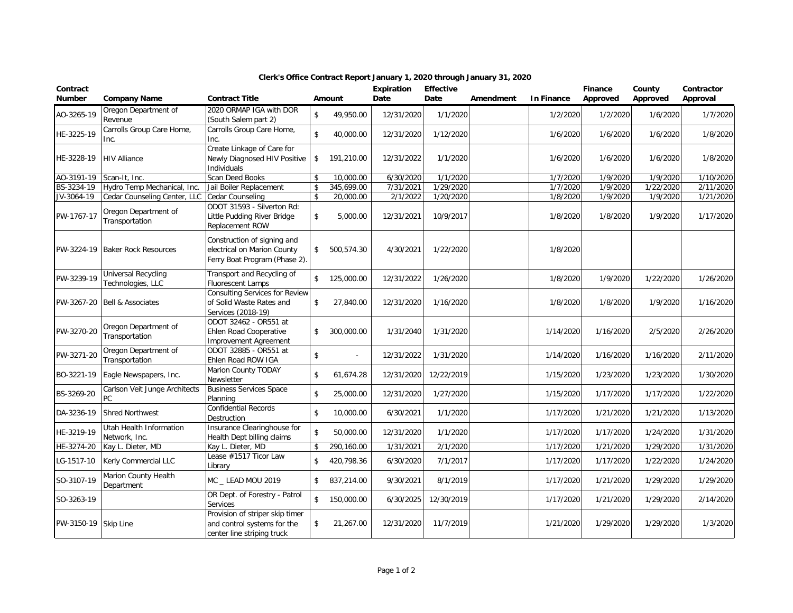| Contract<br><b>Number</b> | <b>Company Name</b>                             | <b>Contract Title</b>                                                                        |                    | Amount       | Expiration<br>Date | <b>Effective</b><br>Date | Amendment | <b>In Finance</b> | Finance<br>Approved | County<br>Approved | Contractor<br>Approval |
|---------------------------|-------------------------------------------------|----------------------------------------------------------------------------------------------|--------------------|--------------|--------------------|--------------------------|-----------|-------------------|---------------------|--------------------|------------------------|
| AO-3265-19                | Oregon Department of<br>Revenue                 | 2020 ORMAP IGA with DOR<br>(South Salem part 2)                                              | \$                 | 49,950.00    | 12/31/2020         | 1/1/2020                 |           | 1/2/2020          | 1/2/2020            | 1/6/2020           | 1/7/2020               |
| HE-3225-19                | Carrolls Group Care Home,<br>Inc.               | Carrolls Group Care Home,<br>Inc.                                                            | $\sqrt{2}$         | 40,000.00    | 12/31/2020         | 1/12/2020                |           | 1/6/2020          | 1/6/2020            | 1/6/2020           | 1/8/2020               |
| HE-3228-19                | <b>HIV Alliance</b>                             | Create Linkage of Care for<br>Newly Diagnosed HIV Positive<br>Individuals                    | \$                 | 191,210.00   | 12/31/2022         | 1/1/2020                 |           | 1/6/2020          | 1/6/2020            | 1/6/2020           | 1/8/2020               |
| AO-3191-19                | Scan-It, Inc.                                   | Scan Deed Books                                                                              | $\mathbf{\hat{S}}$ | 10,000.00    | 6/30/2020          | 1/1/2020                 |           | 1/7/2020          | 1/9/2020            | 1/9/2020           | 1/10/2020              |
| BS-3234-19                | Hydro Temp Mechanical, Inc.                     | Jail Boiler Replacement                                                                      | \$                 | 345,699.00   | 7/31/2021          | 1/29/2020                |           | 1/7/2020          | 1/9/2020            | 1/22/2020          | 2/11/2020              |
| JV-3064-19                | Cedar Counseling Center, LLC                    | Cedar Counseling                                                                             | \$                 | 20,000.00    | 2/1/2022           | 1/20/2020                |           | 1/8/2020          | 1/9/2020            | 1/9/2020           | 1/21/2020              |
| PW-1767-17                | Oregon Department of<br>Transportation          | ODOT 31593 - Silverton Rd:<br>Little Pudding River Bridge<br>Replacement ROW                 | \$                 | 5,000.00     | 12/31/2021         | 10/9/2017                |           | 1/8/2020          | 1/8/2020            | 1/9/2020           | 1/17/2020              |
| PW-3224-19                | <b>Baker Rock Resources</b>                     | Construction of signing and<br>electrical on Marion County<br>Ferry Boat Program (Phase 2).  | $\mathsf{\$}$      | 500,574.30   | 4/30/2021          | 1/22/2020                |           | 1/8/2020          |                     |                    |                        |
| PW-3239-19                | <b>Universal Recycling</b><br>Technologies, LLC | Transport and Recycling of<br><b>Fluorescent Lamps</b>                                       | $\mathsf{\$}$      | 125,000.00   | 12/31/2022         | 1/26/2020                |           | 1/8/2020          | 1/9/2020            | 1/22/2020          | 1/26/2020              |
| PW-3267-20                | <b>Bell &amp; Associates</b>                    | <b>Consulting Services for Review</b><br>of Solid Waste Rates and<br>Services (2018-19)      | \$                 | 27,840.00    | 12/31/2020         | 1/16/2020                |           | 1/8/2020          | 1/8/2020            | 1/9/2020           | 1/16/2020              |
| PW-3270-20                | Oregon Department of<br>Transportation          | ODOT 32462 - OR551 at<br>Ehlen Road Cooperative<br><b>Improvement Agreement</b>              | \$                 | 300,000.00   | 1/31/2040          | 1/31/2020                |           | 1/14/2020         | 1/16/2020           | 2/5/2020           | 2/26/2020              |
| PW-3271-20                | Oregon Department of<br>Transportation          | ODOT 32885 - OR551 at<br>Ehlen Road ROW IGA                                                  | \$                 | $\mathbf{r}$ | 12/31/2022         | 1/31/2020                |           | 1/14/2020         | 1/16/2020           | 1/16/2020          | 2/11/2020              |
| BO-3221-19                | Eagle Newspapers, Inc.                          | Marion County TODAY<br>Newsletter                                                            | \$                 | 61,674.28    | 12/31/2020         | 12/22/2019               |           | 1/15/2020         | 1/23/2020           | 1/23/2020          | 1/30/2020              |
| BS-3269-20                | Carlson Veit Junge Architects<br>PC             | <b>Business Services Space</b><br>Planning                                                   | $\mathbf{\hat{S}}$ | 25,000.00    | 12/31/2020         | 1/27/2020                |           | 1/15/2020         | 1/17/2020           | 1/17/2020          | 1/22/2020              |
| DA-3236-19                | <b>Shred Northwest</b>                          | <b>Confidential Records</b><br>Destruction                                                   | $\mathsf{\$}$      | 10,000.00    | 6/30/2021          | 1/1/2020                 |           | 1/17/2020         | 1/21/2020           | 1/21/2020          | 1/13/2020              |
| HE-3219-19                | Utah Health Information<br>Network, Inc.        | Insurance Clearinghouse for<br>Health Dept billing claims                                    | $\mathsf{\$}$      | 50,000.00    | 12/31/2020         | 1/1/2020                 |           | 1/17/2020         | 1/17/2020           | 1/24/2020          | 1/31/2020              |
| HE-3274-20                | Kay L. Dieter, MD                               | Kay L. Dieter, MD                                                                            | \$                 | 290,160.00   | 1/31/2021          | 2/1/2020                 |           | 1/17/2020         | 1/21/2020           | 1/29/2020          | 1/31/2020              |
| LG-1517-10                | Kerly Commercial LLC                            | Lease #1517 Ticor Law<br>Library                                                             | \$                 | 420,798.36   | 6/30/2020          | 7/1/2017                 |           | 1/17/2020         | 1/17/2020           | 1/22/2020          | 1/24/2020              |
| SO-3107-19                | Marion County Health<br>Department              | MC LEAD MOU 2019                                                                             | \$                 | 837,214.00   | 9/30/2021          | 8/1/2019                 |           | 1/17/2020         | 1/21/2020           | 1/29/2020          | 1/29/2020              |
| SO-3263-19                |                                                 | OR Dept. of Forestry - Patrol<br><b>Services</b>                                             | $\mathsf{\$}$      | 150,000.00   | 6/30/2025          | 12/30/2019               |           | 1/17/2020         | 1/21/2020           | 1/29/2020          | 2/14/2020              |
| PW-3150-19                | Skip Line                                       | Provision of striper skip timer<br>and control systems for the<br>center line striping truck | \$                 | 21,267.00    | 12/31/2020         | 11/7/2019                |           | 1/21/2020         | 1/29/2020           | 1/29/2020          | 1/3/2020               |

## **Clerk's Office Contract Report January 1, 2020 through January 31, 2020**